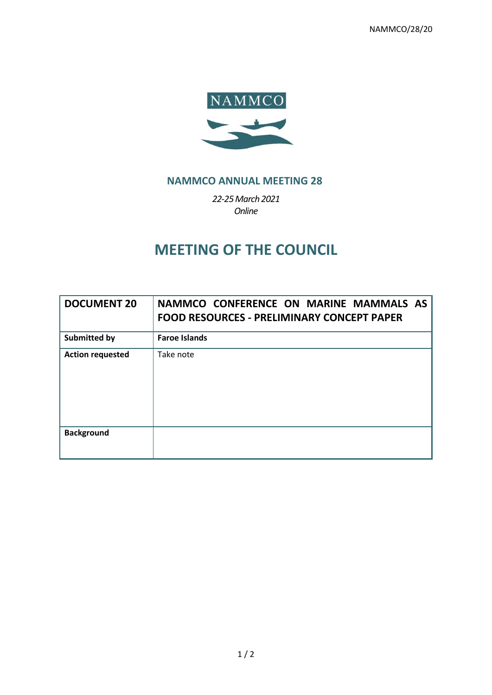NAMMCO/28/20



## **NAMMCO ANNUAL MEETING 28**

*22-25March 2021 Online*

# **MEETING OF THE COUNCIL**

| <b>DOCUMENT 20</b>      | NAMMCO CONFERENCE ON MARINE MAMMALS AS<br><b>FOOD RESOURCES - PRELIMINARY CONCEPT PAPER</b> |
|-------------------------|---------------------------------------------------------------------------------------------|
| Submitted by            | <b>Faroe Islands</b>                                                                        |
| <b>Action requested</b> | Take note                                                                                   |
| <b>Background</b>       |                                                                                             |